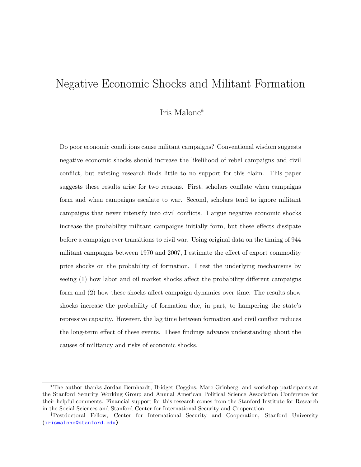# <span id="page-0-0"></span>Negative Economic Shocks and Militant Formation

## Iris Malone∗†

Do poor economic conditions cause militant campaigns? Conventional wisdom suggests negative economic shocks should increase the likelihood of rebel campaigns and civil conflict, but existing research finds little to no support for this claim. This paper suggests these results arise for two reasons. First, scholars conflate when campaigns form and when campaigns escalate to war. Second, scholars tend to ignore militant campaigns that never intensify into civil conflicts. I argue negative economic shocks increase the probability militant campaigns initially form, but these effects dissipate before a campaign ever transitions to civil war. Using original data on the timing of 944 militant campaigns between 1970 and 2007, I estimate the effect of export commodity price shocks on the probability of formation. I test the underlying mechanisms by seeing (1) how labor and oil market shocks affect the probability different campaigns form and (2) how these shocks affect campaign dynamics over time. The results show shocks increase the probability of formation due, in part, to hampering the state's repressive capacity. However, the lag time between formation and civil conflict reduces the long-term effect of these events. These findings advance understanding about the causes of militancy and risks of economic shocks.

<sup>∗</sup>The author thanks Jordan Bernhardt, Bridget Coggins, Marc Grinberg, and workshop participants at the Stanford Security Working Group and Annual American Political Science Association Conference for their helpful comments. Financial support for this research comes from the Stanford Institute for Research in the Social Sciences and Stanford Center for International Security and Cooperation.

<sup>†</sup>Postdoctoral Fellow, Center for International Security and Cooperation, Stanford University ([irismalone@stanford.edu\)](mailto:irismalone@stanford.edu)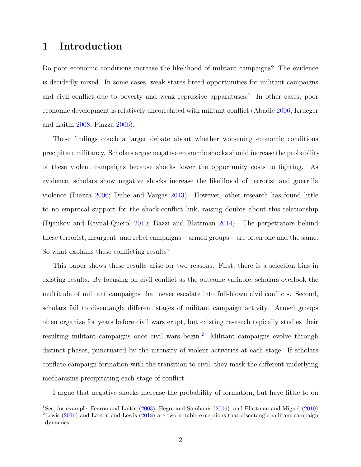# 1 Introduction

Do poor economic conditions increase the likelihood of militant campaigns? The evidence is decidedly mixed. In some cases, weak states breed opportunities for militant campaigns and civil conflict due to poverty and weak repressive apparatuses.<sup>[1](#page-0-0)</sup> In other cases, poor economic development is relatively uncorrelated with militant conflict (Abadie [2006;](#page-29-0) Krueger and Laitin [2008;](#page-30-0) Piazza [2006\)](#page-31-0).

These findings couch a larger debate about whether worsening economic conditions precipitate militancy. Scholars argue negative economic shocks should increase the probability of these violent campaigns because shocks lower the opportunity costs to fighting. As evidence, scholars show negative shocks increase the likelihood of terrorist and guerrilla violence (Piazza [2006;](#page-31-0) Dube and Vargas [2013\)](#page-30-1). However, other research has found little to no empirical support for the shock-conflict link, raising doubts about this relationship (Djankov and Reynal-Querol [2010;](#page-29-1) Bazzi and Blattman [2014\)](#page-29-2). The perpetrators behind these terrorist, insurgent, and rebel campaigns – armed groups – are often one and the same. So what explains these conflicting results?

This paper shows these results arise for two reasons. First, there is a selection bias in existing results. By focusing on civil conflict as the outcome variable, scholars overlook the multitude of militant campaigns that never escalate into full-blown civil conflicts. Second, scholars fail to disentangle different stages of militant campaign activity. Armed groups often organize for years before civil wars erupt, but existing research typically studies their resulting militant campaigns once civil wars begin.<sup>[2](#page-0-0)</sup> Militant campaigns evolve through distinct phases, punctuated by the intensity of violent activities at each stage. If scholars conflate campaign formation with the transition to civil, they mask the different underlying mechanisms precipitating each stage of conflict.

I argue that negative shocks increase the probability of formation, but have little to on

<sup>&</sup>lt;sup>1</sup>See, for example, Fearon and Laitin [\(2003\)](#page-30-2), Hegre and Sambanis [\(2006\)](#page-30-3), and Blattman and Miguel [\(2010\)](#page-29-3) <sup>2</sup>Lewis [\(2016\)](#page-30-4) and Larson and Lewis [\(2018\)](#page-30-5) are two notable exceptions that disentangle militant campaign dynamics.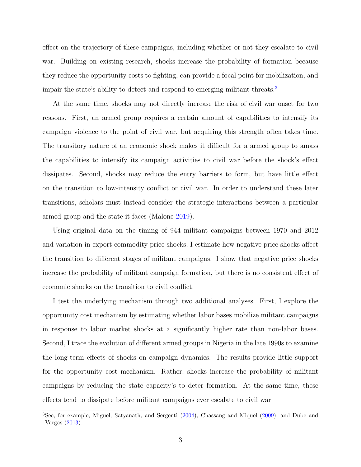effect on the trajectory of these campaigns, including whether or not they escalate to civil war. Building on existing research, shocks increase the probability of formation because they reduce the opportunity costs to fighting, can provide a focal point for mobilization, and impair the state's ability to detect and respond to emerging militant threats.<sup>[3](#page-0-0)</sup>

At the same time, shocks may not directly increase the risk of civil war onset for two reasons. First, an armed group requires a certain amount of capabilities to intensify its campaign violence to the point of civil war, but acquiring this strength often takes time. The transitory nature of an economic shock makes it difficult for a armed group to amass the capabilities to intensify its campaign activities to civil war before the shock's effect dissipates. Second, shocks may reduce the entry barriers to form, but have little effect on the transition to low-intensity conflict or civil war. In order to understand these later transitions, scholars must instead consider the strategic interactions between a particular armed group and the state it faces (Malone [2019\)](#page-30-6).

Using original data on the timing of 944 militant campaigns between 1970 and 2012 and variation in export commodity price shocks, I estimate how negative price shocks affect the transition to different stages of militant campaigns. I show that negative price shocks increase the probability of militant campaign formation, but there is no consistent effect of economic shocks on the transition to civil conflict.

I test the underlying mechanism through two additional analyses. First, I explore the opportunity cost mechanism by estimating whether labor bases mobilize militant campaigns in response to labor market shocks at a significantly higher rate than non-labor bases. Second, I trace the evolution of different armed groups in Nigeria in the late 1990s to examine the long-term effects of shocks on campaign dynamics. The results provide little support for the opportunity cost mechanism. Rather, shocks increase the probability of militant campaigns by reducing the state capacity's to deter formation. At the same time, these effects tend to dissipate before militant campaigns ever escalate to civil war.

<sup>3</sup>See, for example, Miguel, Satyanath, and Sergenti [\(2004\)](#page-31-1), Chassang and Miquel [\(2009\)](#page-29-4), and Dube and Vargas [\(2013\)](#page-30-1).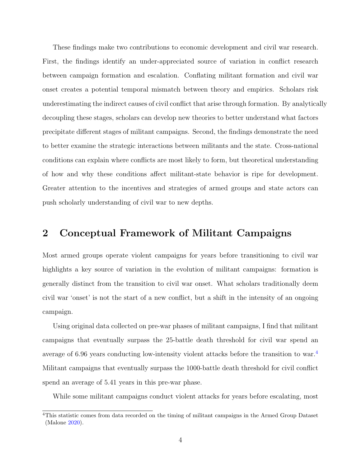These findings make two contributions to economic development and civil war research. First, the findings identify an under-appreciated source of variation in conflict research between campaign formation and escalation. Conflating militant formation and civil war onset creates a potential temporal mismatch between theory and empirics. Scholars risk underestimating the indirect causes of civil conflict that arise through formation. By analytically decoupling these stages, scholars can develop new theories to better understand what factors precipitate different stages of militant campaigns. Second, the findings demonstrate the need to better examine the strategic interactions between militants and the state. Cross-national conditions can explain where conflicts are most likely to form, but theoretical understanding of how and why these conditions affect militant-state behavior is ripe for development. Greater attention to the incentives and strategies of armed groups and state actors can push scholarly understanding of civil war to new depths.

### 2 Conceptual Framework of Militant Campaigns

Most armed groups operate violent campaigns for years before transitioning to civil war highlights a key source of variation in the evolution of militant campaigns: formation is generally distinct from the transition to civil war onset. What scholars traditionally deem civil war 'onset' is not the start of a new conflict, but a shift in the intensity of an ongoing campaign.

Using original data collected on pre-war phases of militant campaigns, I find that militant campaigns that eventually surpass the 25-battle death threshold for civil war spend an average of 6.96 years conducting low-intensity violent attacks before the transition to war.<sup>[4](#page-0-0)</sup> Militant campaigns that eventually surpass the 1000-battle death threshold for civil conflict spend an average of 5.41 years in this pre-war phase.

While some militant campaigns conduct violent attacks for years before escalating, most

<sup>&</sup>lt;sup>4</sup>This statistic comes from data recorded on the timing of militant campaigns in the Armed Group Dataset (Malone [2020\)](#page-30-7).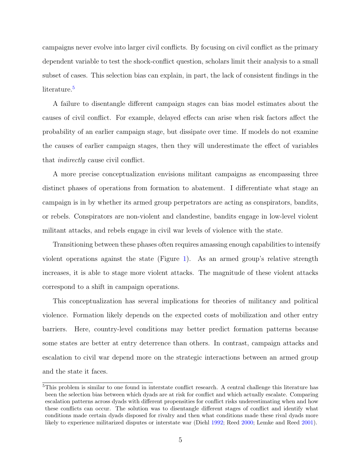campaigns never evolve into larger civil conflicts. By focusing on civil conflict as the primary dependent variable to test the shock-conflict question, scholars limit their analysis to a small subset of cases. This selection bias can explain, in part, the lack of consistent findings in the literature.<sup>[5](#page-0-0)</sup>

A failure to disentangle different campaign stages can bias model estimates about the causes of civil conflict. For example, delayed effects can arise when risk factors affect the probability of an earlier campaign stage, but dissipate over time. If models do not examine the causes of earlier campaign stages, then they will underestimate the effect of variables that indirectly cause civil conflict.

A more precise conceptualization envisions militant campaigns as encompassing three distinct phases of operations from formation to abatement. I differentiate what stage an campaign is in by whether its armed group perpetrators are acting as conspirators, bandits, or rebels. Conspirators are non-violent and clandestine, bandits engage in low-level violent militant attacks, and rebels engage in civil war levels of violence with the state.

Transitioning between these phases often requires amassing enough capabilities to intensify violent operations against the state (Figure [1\)](#page-5-0). As an armed group's relative strength increases, it is able to stage more violent attacks. The magnitude of these violent attacks correspond to a shift in campaign operations.

This conceptualization has several implications for theories of militancy and political violence. Formation likely depends on the expected costs of mobilization and other entry barriers. Here, country-level conditions may better predict formation patterns because some states are better at entry deterrence than others. In contrast, campaign attacks and escalation to civil war depend more on the strategic interactions between an armed group and the state it faces.

<sup>5</sup>This problem is similar to one found in interstate conflict research. A central challenge this literature has been the selection bias between which dyads are at risk for conflict and which actually escalate. Comparing escalation patterns across dyads with different propensities for conflict risks underestimating when and how these conflicts can occur. The solution was to disentangle different stages of conflict and identify what conditions made certain dyads disposed for rivalry and then what conditions made these rival dyads more likely to experience militarized disputes or interstate war (Diehl [1992;](#page-29-5) Reed [2000;](#page-31-2) Lemke and Reed [2001\)](#page-30-8).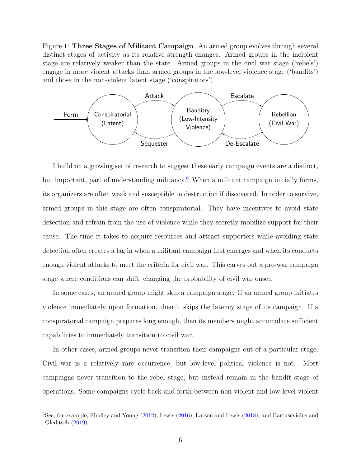<span id="page-5-0"></span>Figure 1: Three Stages of Militant Campaign. An armed group evolves through several distinct stages of activity as its relative strength changes. Armed groups in the incipient stage are relatively weaker than the state. Armed groups in the civil war stage ('rebels') engage in more violent attacks than armed groups in the low-level violence stage ('bandits') and those in the non-violent latent stage ('conspirators').



I build on a growing set of research to suggest these early campaign events are a distinct, but important, part of understanding militancy.<sup>[6](#page-0-0)</sup> When a militant campaign initially forms, its organizers are often weak and susceptible to destruction if discovered. In order to survive, armed groups in this stage are often conspiratorial. They have incentives to avoid state detection and refrain from the use of violence while they secretly mobilize support for their cause. The time it takes to acquire resources and attract supporters while avoiding state detection often creates a lag in when a militant campaign first emerges and when its conducts enough violent attacks to meet the criteria for civil war. This carves out a pre-war campaign stage where conditions can shift, changing the probability of civil war onset.

In some cases, an armed group might skip a campaign stage. If an armed group initiates violence immediately upon formation, then it skips the latency stage of its campaign. If a conspiratorial campaign prepares long enough, then its members might accumulate sufficient capabilities to immediately transition to civil war.

In other cases, armed groups never transition their campaigns out of a particular stage. Civil war is a relatively rare occurrence, but low-level political violence is not. Most campaigns never transition to the rebel stage, but instead remain in the bandit stage of operations. Some campaigns cycle back and forth between non-violent and low-level violent

 ${}^{6}$ See, for example, Findley and Young [\(2012\)](#page-30-9), Lewis [\(2016\)](#page-30-4), Larson and Lewis [\(2018\)](#page-30-5), and Bartusevicius and Gleditsch [\(2019\)](#page-29-6).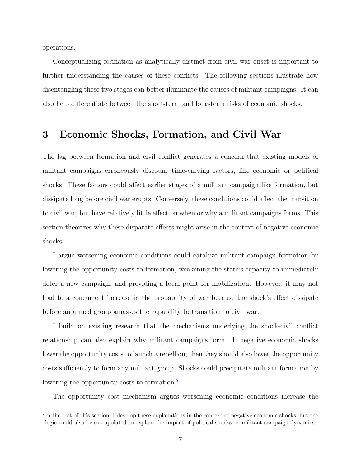operations.

Conceptualizing formation as analytically distinct from civil war onset is important to further understanding the causes of these conflicts. The following sections illustrate how disentangling these two stages can better illuminate the causes of militant campaigns. It can also help differentiate between the short-term and long-term risks of economic shocks.

## 3 Economic Shocks, Formation, and Civil War

The lag between formation and civil conflict generates a concern that existing models of militant campaigns erroneously discount time-varying factors, like economic or political shocks. These factors could affect earlier stages of a militant campaign like formation, but dissipate long before civil war erupts. Conversely, these conditions could affect the transition to civil war, but have relatively little effect on when or why a militant campaigns forms. This section theorizes why these disparate effects might arise in the context of negative economic shocks.

I argue worsening economic conditions could catalyze militant campaign formation by lowering the opportunity costs to formation, weakening the state's capacity to immediately deter a new campaign, and providing a focal point for mobilization. However, it may not lead to a concurrent increase in the probability of war because the shock's effect dissipate before an armed group amasses the capability to transition to civil war.

I build on existing research that the mechanisms underlying the shock-civil conflict relationship can also explain why militant campaigns form. If negative economic shocks lower the opportunity costs to launch a rebellion, then they should also lower the opportunity costs sufficiently to form any militant group. Shocks could precipitate militant formation by lowering the opportunity costs to formation.<sup>[7](#page-0-0)</sup>

The opportunity cost mechanism argues worsening economic conditions increase the

<sup>&</sup>lt;sup>7</sup>In the rest of this section, I develop these explanations in the context of negative economic shocks, but the logic could also be extrapolated to explain the impact of political shocks on militant campaign dynamics.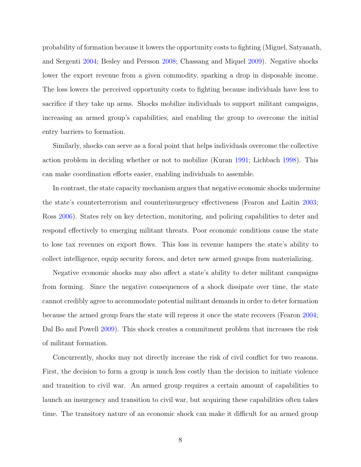probability of formation because it lowers the opportunity costs to fighting (Miguel, Satyanath, and Sergenti [2004;](#page-31-1) Besley and Persson [2008;](#page-29-7) Chassang and Miquel [2009\)](#page-29-4). Negative shocks lower the export revenue from a given commodity, sparking a drop in disposable income. The loss lowers the perceived opportunity costs to fighting because individuals have less to sacrifice if they take up arms. Shocks mobilize individuals to support militant campaigns, increasing an armed group's capabilities, and enabling the group to overcome the initial entry barriers to formation.

Similarly, shocks can serve as a focal point that helps individuals overcome the collective action problem in deciding whether or not to mobilize (Kuran [1991;](#page-30-10) Lichbach [1998\)](#page-30-11). This can make coordination efforts easier, enabling individuals to assemble.

In contrast, the state capacity mechanism argues that negative economic shocks undermine the state's counterterrorism and counterinsurgency effectiveness (Fearon and Laitin [2003;](#page-30-2) Ross [2006\)](#page-31-3). States rely on key detection, monitoring, and policing capabilities to deter and respond effectively to emerging militant threats. Poor economic conditions cause the state to lose tax revenues on export flows. This loss in revenue hampers the state's ability to collect intelligence, equip security forces, and deter new armed groups from materializing.

Negative economic shocks may also affect a state's ability to deter militant campaigns from forming. Since the negative consequences of a shock dissipate over time, the state cannot credibly agree to accommodate potential militant demands in order to deter formation because the armed group fears the state will repress it once the state recovers (Fearon [2004;](#page-30-12) Dal Bo and Powell [2009\)](#page-29-8). This shock creates a commitment problem that increases the risk of militant formation.

Concurrently, shocks may not directly increase the risk of civil conflict for two reasons. First, the decision to form a group is much less costly than the decision to initiate violence and transition to civil war. An armed group requires a certain amount of capabilities to launch an insurgency and transition to civil war, but acquiring these capabilities often takes time. The transitory nature of an economic shock can make it difficult for an armed group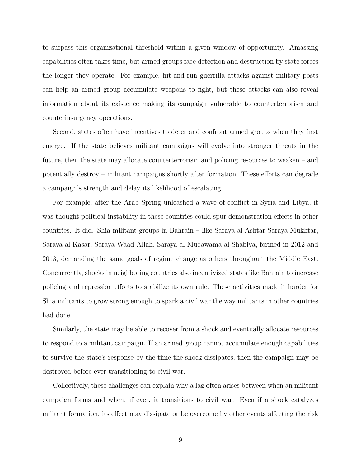to surpass this organizational threshold within a given window of opportunity. Amassing capabilities often takes time, but armed groups face detection and destruction by state forces the longer they operate. For example, hit-and-run guerrilla attacks against military posts can help an armed group accumulate weapons to fight, but these attacks can also reveal information about its existence making its campaign vulnerable to counterterrorism and counterinsurgency operations.

Second, states often have incentives to deter and confront armed groups when they first emerge. If the state believes militant campaigns will evolve into stronger threats in the future, then the state may allocate counterterrorism and policing resources to weaken – and potentially destroy – militant campaigns shortly after formation. These efforts can degrade a campaign's strength and delay its likelihood of escalating.

For example, after the Arab Spring unleashed a wave of conflict in Syria and Libya, it was thought political instability in these countries could spur demonstration effects in other countries. It did. Shia militant groups in Bahrain – like Saraya al-Ashtar Saraya Mukhtar, Saraya al-Kasar, Saraya Waad Allah, Saraya al-Muqawama al-Shabiya, formed in 2012 and 2013, demanding the same goals of regime change as others throughout the Middle East. Concurrently, shocks in neighboring countries also incentivized states like Bahrain to increase policing and repression efforts to stabilize its own rule. These activities made it harder for Shia militants to grow strong enough to spark a civil war the way militants in other countries had done.

Similarly, the state may be able to recover from a shock and eventually allocate resources to respond to a militant campaign. If an armed group cannot accumulate enough capabilities to survive the state's response by the time the shock dissipates, then the campaign may be destroyed before ever transitioning to civil war.

Collectively, these challenges can explain why a lag often arises between when an militant campaign forms and when, if ever, it transitions to civil war. Even if a shock catalyzes militant formation, its effect may dissipate or be overcome by other events affecting the risk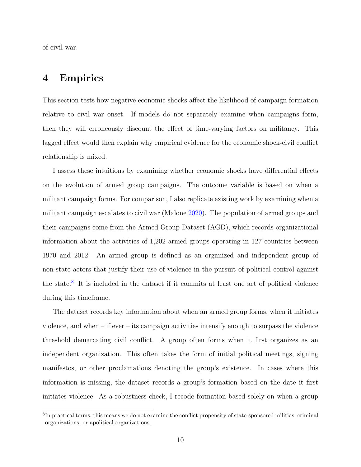of civil war.

## 4 Empirics

This section tests how negative economic shocks affect the likelihood of campaign formation relative to civil war onset. If models do not separately examine when campaigns form, then they will erroneously discount the effect of time-varying factors on militancy. This lagged effect would then explain why empirical evidence for the economic shock-civil conflict relationship is mixed.

I assess these intuitions by examining whether economic shocks have differential effects on the evolution of armed group campaigns. The outcome variable is based on when a militant campaign forms. For comparison, I also replicate existing work by examining when a militant campaign escalates to civil war (Malone [2020\)](#page-30-7). The population of armed groups and their campaigns come from the Armed Group Dataset (AGD), which records organizational information about the activities of 1,202 armed groups operating in 127 countries between 1970 and 2012. An armed group is defined as an organized and independent group of non-state actors that justify their use of violence in the pursuit of political control against the state.[8](#page-0-0) It is included in the dataset if it commits at least one act of political violence during this timeframe.

The dataset records key information about when an armed group forms, when it initiates violence, and when – if ever – its campaign activities intensify enough to surpass the violence threshold demarcating civil conflict. A group often forms when it first organizes as an independent organization. This often takes the form of initial political meetings, signing manifestos, or other proclamations denoting the group's existence. In cases where this information is missing, the dataset records a group's formation based on the date it first initiates violence. As a robustness check, I recode formation based solely on when a group

<sup>&</sup>lt;sup>8</sup>In practical terms, this means we do not examine the conflict propensity of state-sponsored militias, criminal organizations, or apolitical organizations.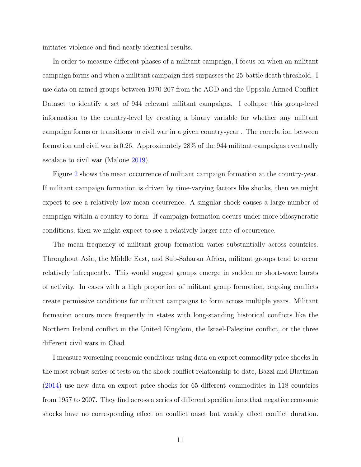initiates violence and find nearly identical results.

In order to measure different phases of a militant campaign, I focus on when an militant campaign forms and when a militant campaign first surpasses the 25-battle death threshold. I use data on armed groups between 1970-207 from the AGD and the Uppsala Armed Conflict Dataset to identify a set of 944 relevant militant campaigns. I collapse this group-level information to the country-level by creating a binary variable for whether any militant campaign forms or transitions to civil war in a given country-year . The correlation between formation and civil war is 0.26. Approximately 28% of the 944 militant campaigns eventually escalate to civil war (Malone [2019\)](#page-30-6).

Figure [2](#page-11-0) shows the mean occurrence of militant campaign formation at the country-year. If militant campaign formation is driven by time-varying factors like shocks, then we might expect to see a relatively low mean occurrence. A singular shock causes a large number of campaign within a country to form. If campaign formation occurs under more idiosyncratic conditions, then we might expect to see a relatively larger rate of occurrence.

The mean frequency of militant group formation varies substantially across countries. Throughout Asia, the Middle East, and Sub-Saharan Africa, militant groups tend to occur relatively infrequently. This would suggest groups emerge in sudden or short-wave bursts of activity. In cases with a high proportion of militant group formation, ongoing conflicts create permissive conditions for militant campaigns to form across multiple years. Militant formation occurs more frequently in states with long-standing historical conflicts like the Northern Ireland conflict in the United Kingdom, the Israel-Palestine conflict, or the three different civil wars in Chad.

I measure worsening economic conditions using data on export commodity price shocks.In the most robust series of tests on the shock-conflict relationship to date, Bazzi and Blattman [\(2014\)](#page-29-2) use new data on export price shocks for 65 different commodities in 118 countries from 1957 to 2007. They find across a series of different specifications that negative economic shocks have no corresponding effect on conflict onset but weakly affect conflict duration.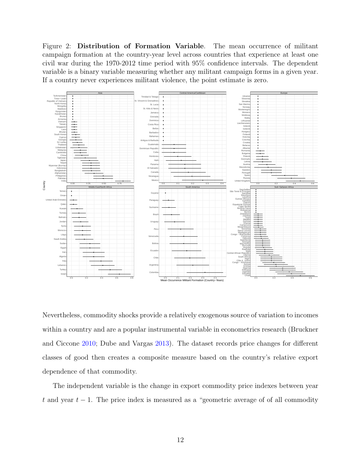<span id="page-11-0"></span>Figure 2: Distribution of Formation Variable. The mean occurrence of militant campaign formation at the country-year level across countries that experience at least one civil war during the 1970-2012 time period with 95% confidence intervals. The dependent variable is a binary variable measuring whether any militant campaign forms in a given year. If a country never experiences militant violence, the point estimate is zero.



Nevertheless, commodity shocks provide a relatively exogenous source of variation to incomes within a country and are a popular instrumental variable in econometrics research (Bruckner and Ciccone [2010;](#page-29-9) Dube and Vargas [2013\)](#page-30-1). The dataset records price changes for different classes of good then creates a composite measure based on the country's relative export dependence of that commodity.

The independent variable is the change in export commodity price indexes between year t and year  $t-1$ . The price index is measured as a "geometric average of of all commodity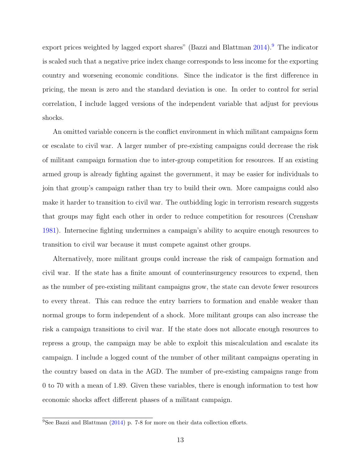export prices weighted by lagged export shares" (Bazzi and Blattman  $2014$ ).<sup>[9](#page-0-0)</sup> The indicator is scaled such that a negative price index change corresponds to less income for the exporting country and worsening economic conditions. Since the indicator is the first difference in pricing, the mean is zero and the standard deviation is one. In order to control for serial correlation, I include lagged versions of the independent variable that adjust for previous shocks.

An omitted variable concern is the conflict environment in which militant campaigns form or escalate to civil war. A larger number of pre-existing campaigns could decrease the risk of militant campaign formation due to inter-group competition for resources. If an existing armed group is already fighting against the government, it may be easier for individuals to join that group's campaign rather than try to build their own. More campaigns could also make it harder to transition to civil war. The outbidding logic in terrorism research suggests that groups may fight each other in order to reduce competition for resources (Crenshaw [1981\)](#page-29-10). Internecine fighting undermines a campaign's ability to acquire enough resources to transition to civil war because it must compete against other groups.

Alternatively, more militant groups could increase the risk of campaign formation and civil war. If the state has a finite amount of counterinsurgency resources to expend, then as the number of pre-existing militant campaigns grow, the state can devote fewer resources to every threat. This can reduce the entry barriers to formation and enable weaker than normal groups to form independent of a shock. More militant groups can also increase the risk a campaign transitions to civil war. If the state does not allocate enough resources to repress a group, the campaign may be able to exploit this miscalculation and escalate its campaign. I include a logged count of the number of other militant campaigns operating in the country based on data in the AGD. The number of pre-existing campaigns range from 0 to 70 with a mean of 1.89. Given these variables, there is enough information to test how economic shocks affect different phases of a militant campaign.

 $\overline{^{9}$ See Bazzi and Blattman [\(2014\)](#page-29-2) p. 7-8 for more on their data collection efforts.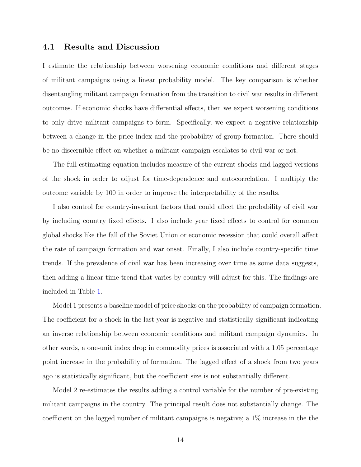#### 4.1 Results and Discussion

I estimate the relationship between worsening economic conditions and different stages of militant campaigns using a linear probability model. The key comparison is whether disentangling militant campaign formation from the transition to civil war results in different outcomes. If economic shocks have differential effects, then we expect worsening conditions to only drive militant campaigns to form. Specifically, we expect a negative relationship between a change in the price index and the probability of group formation. There should be no discernible effect on whether a militant campaign escalates to civil war or not.

The full estimating equation includes measure of the current shocks and lagged versions of the shock in order to adjust for time-dependence and autocorrelation. I multiply the outcome variable by 100 in order to improve the interpretability of the results.

I also control for country-invariant factors that could affect the probability of civil war by including country fixed effects. I also include year fixed effects to control for common global shocks like the fall of the Soviet Union or economic recession that could overall affect the rate of campaign formation and war onset. Finally, I also include country-specific time trends. If the prevalence of civil war has been increasing over time as some data suggests, then adding a linear time trend that varies by country will adjust for this. The findings are included in Table [1.](#page-14-0)

Model 1 presents a baseline model of price shocks on the probability of campaign formation. The coefficient for a shock in the last year is negative and statistically significant indicating an inverse relationship between economic conditions and militant campaign dynamics. In other words, a one-unit index drop in commodity prices is associated with a 1.05 percentage point increase in the probability of formation. The lagged effect of a shock from two years ago is statistically significant, but the coefficient size is not substantially different.

Model 2 re-estimates the results adding a control variable for the number of pre-existing militant campaigns in the country. The principal result does not substantially change. The coefficient on the logged number of militant campaigns is negative; a 1% increase in the the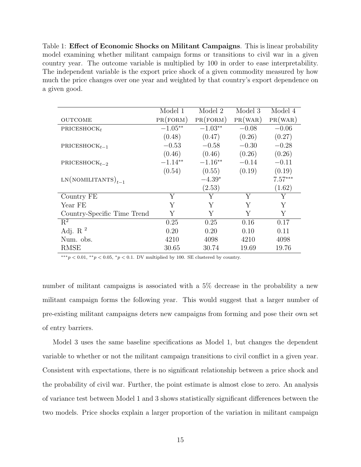<span id="page-14-0"></span>Table 1: Effect of Economic Shocks on Militant Campaigns. This is linear probability model examining whether militant campaign forms or transitions to civil war in a given country year. The outcome variable is multiplied by 100 in order to ease interpretability. The independent variable is the export price shock of a given commodity measured by how much the price changes over one year and weighted by that country's export dependence on a given good.

|                             | Model 1   | Model 2   | Model 3 | Model 4   |
|-----------------------------|-----------|-----------|---------|-----------|
| <b>OUTCOME</b>              | PR(FORM)  | PR(FORM)  | PR(WAR) | PR(WAR)   |
| PRICESHOCK $_t$             | $-1.05**$ | $-1.03**$ | $-0.08$ | $-0.06$   |
|                             | (0.48)    | (0.47)    | (0.26)  | (0.27)    |
| PRICESHOC $K_{t-1}$         | $-0.53$   | $-0.58$   | $-0.30$ | $-0.28$   |
|                             | (0.46)    | (0.46)    | (0.26)  | (0.26)    |
| PRICESHOC $K_{t-2}$         | $-1.14**$ | $-1.16**$ | $-0.14$ | $-0.11$   |
|                             | (0.54)    | (0.55)    | (0.19)  | (0.19)    |
| $LN(NOMILITANTS)_{t-1}$     |           | $-4.39*$  |         | $7.57***$ |
|                             |           | (2.53)    |         | (1.62)    |
| Country FE                  | Y         | Y         | Y       | Y         |
| Year FE                     | Υ         | Y         | Y       | Y         |
| Country-Specific Time Trend | Y         | Y         | Y       | Y         |
| $R^2$                       | 0.25      | 0.25      | 0.16    | 0.17      |
| Adj. R $^2$                 | 0.20      | 0.20      | 0.10    | 0.11      |
| Num. obs.                   | 4210      | 4098      | 4210    | 4098      |
| <b>RMSE</b>                 | 30.65     | 30.74     | 19.69   | 19.76     |

 $^{***}p < 0.01,$   $^{**}p < 0.05,$   $^{*}p < 0.1$  DV multiplied by 100. SE clustered by country.

number of militant campaigns is associated with a 5% decrease in the probability a new militant campaign forms the following year. This would suggest that a larger number of pre-existing militant campaigns deters new campaigns from forming and pose their own set of entry barriers.

Model 3 uses the same baseline specifications as Model 1, but changes the dependent variable to whether or not the militant campaign transitions to civil conflict in a given year. Consistent with expectations, there is no significant relationship between a price shock and the probability of civil war. Further, the point estimate is almost close to zero. An analysis of variance test between Model 1 and 3 shows statistically significant differences between the two models. Price shocks explain a larger proportion of the variation in militant campaign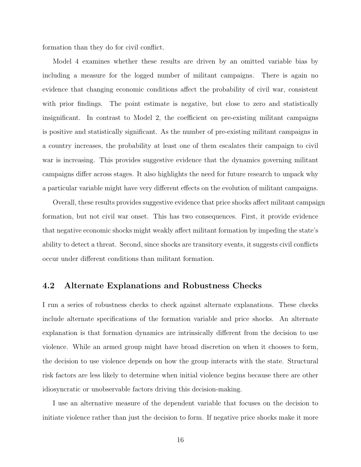formation than they do for civil conflict.

Model 4 examines whether these results are driven by an omitted variable bias by including a measure for the logged number of militant campaigns. There is again no evidence that changing economic conditions affect the probability of civil war, consistent with prior findings. The point estimate is negative, but close to zero and statistically insignificant. In contrast to Model 2, the coefficient on pre-existing militant campaigns is positive and statistically significant. As the number of pre-existing militant campaigns in a country increases, the probability at least one of them escalates their campaign to civil war is increasing. This provides suggestive evidence that the dynamics governing militant campaigns differ across stages. It also highlights the need for future research to unpack why a particular variable might have very different effects on the evolution of militant campaigns.

Overall, these results provides suggestive evidence that price shocks affect militant campaign formation, but not civil war onset. This has two consequences. First, it provide evidence that negative economic shocks might weakly affect militant formation by impeding the state's ability to detect a threat. Second, since shocks are transitory events, it suggests civil conflicts occur under different conditions than militant formation.

### 4.2 Alternate Explanations and Robustness Checks

I run a series of robustness checks to check against alternate explanations. These checks include alternate specifications of the formation variable and price shocks. An alternate explanation is that formation dynamics are intrinsically different from the decision to use violence. While an armed group might have broad discretion on when it chooses to form, the decision to use violence depends on how the group interacts with the state. Structural risk factors are less likely to determine when initial violence begins because there are other idiosyncratic or unobservable factors driving this decision-making.

I use an alternative measure of the dependent variable that focuses on the decision to initiate violence rather than just the decision to form. If negative price shocks make it more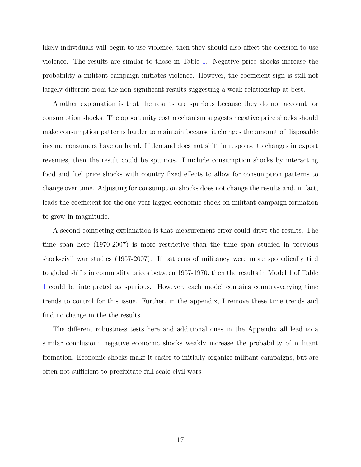likely individuals will begin to use violence, then they should also affect the decision to use violence. The results are similar to those in Table [1.](#page-14-0) Negative price shocks increase the probability a militant campaign initiates violence. However, the coefficient sign is still not largely different from the non-significant results suggesting a weak relationship at best.

Another explanation is that the results are spurious because they do not account for consumption shocks. The opportunity cost mechanism suggests negative price shocks should make consumption patterns harder to maintain because it changes the amount of disposable income consumers have on hand. If demand does not shift in response to changes in export revenues, then the result could be spurious. I include consumption shocks by interacting food and fuel price shocks with country fixed effects to allow for consumption patterns to change over time. Adjusting for consumption shocks does not change the results and, in fact, leads the coefficient for the one-year lagged economic shock on militant campaign formation to grow in magnitude.

A second competing explanation is that measurement error could drive the results. The time span here (1970-2007) is more restrictive than the time span studied in previous shock-civil war studies (1957-2007). If patterns of militancy were more sporadically tied to global shifts in commodity prices between 1957-1970, then the results in Model 1 of Table [1](#page-14-0) could be interpreted as spurious. However, each model contains country-varying time trends to control for this issue. Further, in the appendix, I remove these time trends and find no change in the the results.

The different robustness tests here and additional ones in the Appendix all lead to a similar conclusion: negative economic shocks weakly increase the probability of militant formation. Economic shocks make it easier to initially organize militant campaigns, but are often not sufficient to precipitate full-scale civil wars.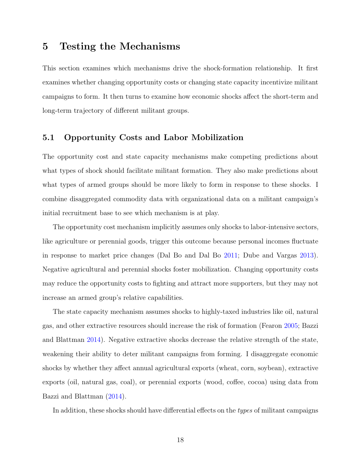### 5 Testing the Mechanisms

This section examines which mechanisms drive the shock-formation relationship. It first examines whether changing opportunity costs or changing state capacity incentivize militant campaigns to form. It then turns to examine how economic shocks affect the short-term and long-term trajectory of different militant groups.

### 5.1 Opportunity Costs and Labor Mobilization

The opportunity cost and state capacity mechanisms make competing predictions about what types of shock should facilitate militant formation. They also make predictions about what types of armed groups should be more likely to form in response to these shocks. I combine disaggregated commodity data with organizational data on a militant campaign's initial recruitment base to see which mechanism is at play.

The opportunity cost mechanism implicitly assumes only shocks to labor-intensive sectors, like agriculture or perennial goods, trigger this outcome because personal incomes fluctuate in response to market price changes (Dal Bo and Dal Bo [2011;](#page-29-11) Dube and Vargas [2013\)](#page-30-1). Negative agricultural and perennial shocks foster mobilization. Changing opportunity costs may reduce the opportunity costs to fighting and attract more supporters, but they may not increase an armed group's relative capabilities.

The state capacity mechanism assumes shocks to highly-taxed industries like oil, natural gas, and other extractive resources should increase the risk of formation (Fearon [2005;](#page-30-13) Bazzi and Blattman [2014\)](#page-29-2). Negative extractive shocks decrease the relative strength of the state, weakening their ability to deter militant campaigns from forming. I disaggregate economic shocks by whether they affect annual agricultural exports (wheat, corn, soybean), extractive exports (oil, natural gas, coal), or perennial exports (wood, coffee, cocoa) using data from Bazzi and Blattman [\(2014\)](#page-29-2).

In addition, these shocks should have differential effects on the *types* of militant campaigns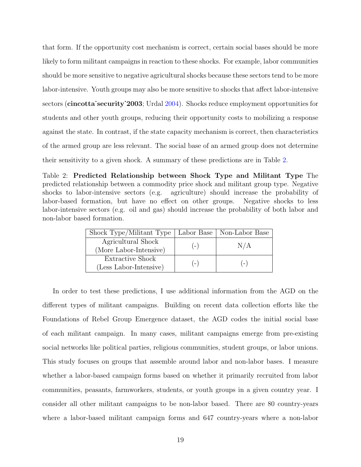that form. If the opportunity cost mechanism is correct, certain social bases should be more likely to form militant campaigns in reaction to these shocks. For example, labor communities should be more sensitive to negative agricultural shocks because these sectors tend to be more labor-intensive. Youth groups may also be more sensitive to shocks that affect labor-intensive sectors (cincotta security 2003; Urdal [2004\)](#page-31-4). Shocks reduce employment opportunities for students and other youth groups, reducing their opportunity costs to mobilizing a response against the state. In contrast, if the state capacity mechanism is correct, then characteristics of the armed group are less relevant. The social base of an armed group does not determine their sensitivity to a given shock. A summary of these predictions are in Table [2.](#page-18-0)

<span id="page-18-0"></span>Table 2: Predicted Relationship between Shock Type and Militant Type The predicted relationship between a commodity price shock and militant group type. Negative shocks to labor-intensive sectors (e.g. agriculture) should increase the probability of labor-based formation, but have no effect on other groups. Negative shocks to less labor-intensive sectors (e.g. oil and gas) should increase the probability of both labor and non-labor based formation.

| Shock Type/Militant Type                     |       | Labor Base   Non-Labor Base |
|----------------------------------------------|-------|-----------------------------|
| Agricultural Shock<br>(More Labor-Intensive) | $(-)$ | N/A                         |
| Extractive Shock<br>(Less Labor-Intensive)   | $(-)$ | $(-)$                       |

In order to test these predictions, I use additional information from the AGD on the different types of militant campaigns. Building on recent data collection efforts like the Foundations of Rebel Group Emergence dataset, the AGD codes the initial social base of each militant campaign. In many cases, militant campaigns emerge from pre-existing social networks like political parties, religious communities, student groups, or labor unions. This study focuses on groups that assemble around labor and non-labor bases. I measure whether a labor-based campaign forms based on whether it primarily recruited from labor communities, peasants, farmworkers, students, or youth groups in a given country year. I consider all other militant campaigns to be non-labor based. There are 80 country-years where a labor-based militant campaign forms and 647 country-years where a non-labor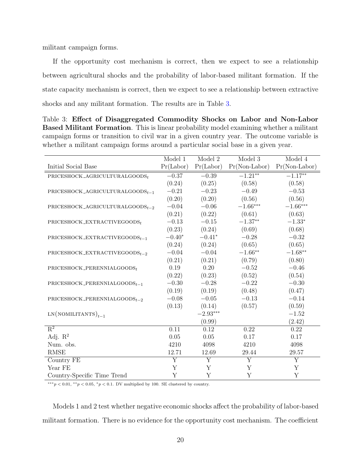militant campaign forms.

If the opportunity cost mechanism is correct, then we expect to see a relationship between agricultural shocks and the probability of labor-based militant formation. If the state capacity mechanism is correct, then we expect to see a relationship between extractive shocks and any militant formation. The results are in Table [3.](#page-19-0)

<span id="page-19-0"></span>Table 3: Effect of Disaggregated Commodity Shocks on Labor and Non-Labor Based Militant Formation. This is linear probability model examining whether a militant campaign forms or transition to civil war in a given country year. The outcome variable is whether a militant campaign forms around a particular social base in a given year.

|                                                                  | Model 1         | Model 2        | Model 3            | Model 4         |
|------------------------------------------------------------------|-----------------|----------------|--------------------|-----------------|
| Initial Social Base                                              | $Pr($ Labor $)$ | Pr(Labor)      | $Pr(Non-Labor)$    | $Pr(Non-Labor)$ |
| PRICESHOCK_AGRICULTURALGOODS $_t$                                | $-0.37$         | $-0.39$        | $-1.21**$          | $-1.17**$       |
|                                                                  | (0.24)          | (0.25)         | (0.58)             | (0.58)          |
| $\label{eq:pricts} \texttt{PRICESHOCK\_AGRICULTURALGOODS}_{t-1}$ | $-0.21$         | $-0.23$        | $-0.49$            | $-0.53$         |
|                                                                  | (0.20)          | (0.20)         | (0.56)             | (0.56)          |
| PRICESHOCK_AGRICULTURALGOODS $_{t-2}$                            | $-0.04$         | $-0.06$        | $-1.66***$         | $-1.66***$      |
|                                                                  | (0.21)          | (0.22)         | (0.61)             | (0.63)          |
| PRICESHOCK_EXTRACTIVEGOODS $_t$                                  | $-0.13$         | $-0.15$        | $-1.37**$          | $-1.33*$        |
|                                                                  | (0.23)          | (0.24)         | (0.69)             | (0.68)          |
| PRICESHOCK_EXTRACTIVEGOODS $_{t-1}$                              | $-0.40^{\ast}$  | $-0.41^{\ast}$ | $-0.28$            | $-0.32$         |
|                                                                  | (0.24)          | (0.24)         | (0.65)             | (0.65)          |
| PRICESHOCK_EXTRACTIVEGOODS $_{t-2}$                              | $-0.04$         | $-0.04$        | $-1.66^{\ast\ast}$ | $-1.68**$       |
|                                                                  | (0.21)          | (0.21)         | (0.79)             | (0.80)          |
| PRICESHOCK_PERENNIALGOODS $_t$                                   | 0.19            | 0.20           | $\!-0.52\!$        | $-0.46$         |
|                                                                  | (0.22)          | (0.23)         | (0.52)             | (0.54)          |
| PRICESHOCK_PERENNIALGOODS $_{t-1}$                               | $-0.30$         | $-0.28$        | $-0.22$            | $-0.30$         |
|                                                                  | (0.19)          | (0.19)         | (0.48)             | (0.47)          |
| PRICESHOCK_PERENNIALGOODS $_{t-2}$                               | $-0.08$         | $-0.05$        | $-0.13$            | $-0.14$         |
|                                                                  | (0.13)          | (0.14)         | (0.57)             | (0.59)          |
| $LN(NOMILITANTS)_{t-1}$                                          |                 | $-2.93***$     |                    | $-1.52$         |
|                                                                  |                 | (0.99)         |                    | (2.42)          |
| $R^2$                                                            | 0.11            | 0.12           | 0.22               | 0.22            |
| Adj. $R^2$                                                       | 0.05            | 0.05           | 0.17               | 0.17            |
| Num. obs.                                                        | 4210            | 4098           | 4210               | 4098            |
| <b>RMSE</b>                                                      | 12.71           | 12.69          | 29.44              | 29.57           |
| Country FE                                                       | Y               | Y              | Y                  | Y               |
| Year FE                                                          | Y               | Y              | Y                  | Y               |
| Country-Specific Time Trend                                      | Y               | Y              | Y                  | Y               |

 $***p<0.01, **p<0.05, *p<0.1$ . DV multiplied by 100. SE clustered by country.

Models 1 and 2 test whether negative economic shocks affect the probability of labor-based militant formation. There is no evidence for the opportunity cost mechanism. The coefficient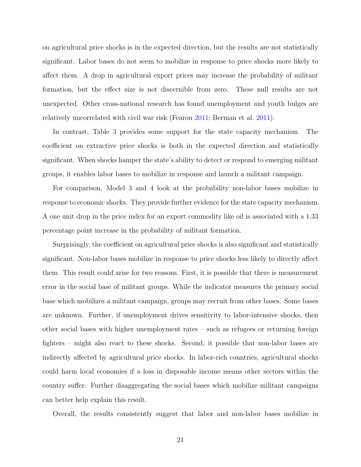on agricultural price shocks is in the expected direction, but the results are not statistically significant. Labor bases do not seem to mobilize in response to price shocks more likely to affect them. A drop in agricultural export prices may increase the probability of militant formation, but the effect size is not discernible from zero. These null results are not unexpected. Other cross-national research has found unemployment and youth bulges are relatively uncorrelated with civil war risk (Fearon [2011;](#page-30-14) Berman et al. [2011\)](#page-29-12).

In contrast, Table [3](#page-19-0) provides some support for the state capacity mechanism. The coefficient on extractive price shocks is both in the expected direction and statistically significant. When shocks hamper the state's ability to detect or respond to emerging militant groups, it enables labor bases to mobilize in response and launch a militant campaign.

For comparison, Model 3 and 4 look at the probability non-labor bases mobilize in response to economic shocks. They provide further evidence for the state capacity mechanism. A one unit drop in the price index for an export commodity like oil is associated with a 1.33 percentage point increase in the probability of militant formation.

Surprisingly, the coefficient on agricultural price shocks is also significant and statistically significant. Non-labor bases mobilize in response to price shocks less likely to directly affect them. This result could arise for two reasons. First, it is possible that there is measurement error in the social base of militant groups. While the indicator measures the primary social base which mobilizes a militant campaign, groups may recruit from other bases. Some bases are unknown. Further, if unemployment drives sensitivity to labor-intensive shocks, then other social bases with higher unemployment rates – such as refugees or returning foreign fighters – might also react to these shocks. Second, it possible that non-labor bases are indirectly affected by agricultural price shocks. In labor-rich countries, agricultural shocks could harm local economies if a loss in disposable income means other sectors within the country suffer. Further disaggregating the social bases which mobilize militant campaigns can better help explain this result.

Overall, the results consistently suggest that labor and non-labor bases mobilize in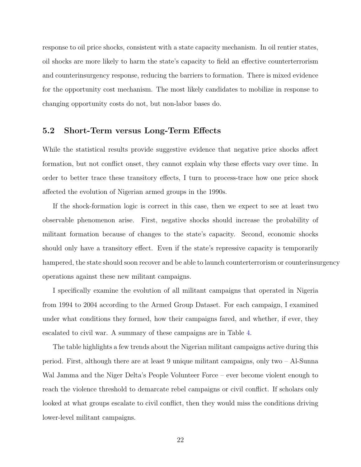response to oil price shocks, consistent with a state capacity mechanism. In oil rentier states, oil shocks are more likely to harm the state's capacity to field an effective counterterrorism and counterinsurgency response, reducing the barriers to formation. There is mixed evidence for the opportunity cost mechanism. The most likely candidates to mobilize in response to changing opportunity costs do not, but non-labor bases do.

### 5.2 Short-Term versus Long-Term Effects

While the statistical results provide suggestive evidence that negative price shocks affect formation, but not conflict onset, they cannot explain why these effects vary over time. In order to better trace these transitory effects, I turn to process-trace how one price shock affected the evolution of Nigerian armed groups in the 1990s.

If the shock-formation logic is correct in this case, then we expect to see at least two observable phenomenon arise. First, negative shocks should increase the probability of militant formation because of changes to the state's capacity. Second, economic shocks should only have a transitory effect. Even if the state's repressive capacity is temporarily hampered, the state should soon recover and be able to launch counterterrorism or counterinsurgency operations against these new militant campaigns.

I specifically examine the evolution of all militant campaigns that operated in Nigeria from 1994 to 2004 according to the Armed Group Dataset. For each campaign, I examined under what conditions they formed, how their campaigns fared, and whether, if ever, they escalated to civil war. A summary of these campaigns are in Table [4.](#page-22-0)

The table highlights a few trends about the Nigerian militant campaigns active during this period. First, although there are at least 9 unique militant campaigns, only two – Al-Sunna Wal Jamma and the Niger Delta's People Volunteer Force – ever become violent enough to reach the violence threshold to demarcate rebel campaigns or civil conflict. If scholars only looked at what groups escalate to civil conflict, then they would miss the conditions driving lower-level militant campaigns.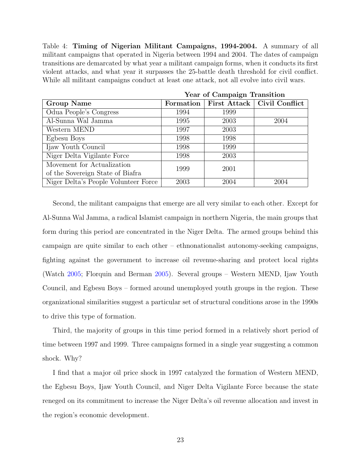<span id="page-22-0"></span>Table 4: Timing of Nigerian Militant Campaigns, 1994-2004. A summary of all militant campaigns that operated in Nigeria between 1994 and 2004. The dates of campaign transitions are demarcated by what year a militant campaign forms, when it conducts its first violent attacks, and what year it surpasses the 25-battle death threshold for civil conflict. While all militant campaigns conduct at least one attack, not all evolve into civil wars.

|                                                                | Year of Campaign Transition |      |                               |  |  |
|----------------------------------------------------------------|-----------------------------|------|-------------------------------|--|--|
| <b>Group Name</b>                                              | Formation                   |      | First Attack   Civil Conflict |  |  |
| Odua People's Congress                                         | 1994                        | 1999 |                               |  |  |
| Al-Sunna Wal Jamma                                             | 1995                        | 2003 | 2004                          |  |  |
| Western MEND                                                   | 1997                        | 2003 |                               |  |  |
| Egbesu Boys                                                    | 1998                        | 1998 |                               |  |  |
| Ijaw Youth Council                                             | 1998                        | 1999 |                               |  |  |
| Niger Delta Vigilante Force                                    | 1998                        | 2003 |                               |  |  |
| Movement for Actualization<br>of the Sovereign State of Biafra | 1999                        | 2001 |                               |  |  |
| Niger Delta's People Volunteer Force                           | 2003                        | 2004 | 2004                          |  |  |

Second, the militant campaigns that emerge are all very similar to each other. Except for Al-Sunna Wal Jamma, a radical Islamist campaign in northern Nigeria, the main groups that form during this period are concentrated in the Niger Delta. The armed groups behind this campaign are quite similar to each other – ethnonationalist autonomy-seeking campaigns, fighting against the government to increase oil revenue-sharing and protect local rights (Watch [2005;](#page-31-5) Florquin and Berman [2005\)](#page-30-15). Several groups – Western MEND, Ijaw Youth Council, and Egbesu Boys – formed around unemployed youth groups in the region. These organizational similarities suggest a particular set of structural conditions arose in the 1990s to drive this type of formation.

Third, the majority of groups in this time period formed in a relatively short period of time between 1997 and 1999. Three campaigns formed in a single year suggesting a common shock. Why?

I find that a major oil price shock in 1997 catalyzed the formation of Western MEND, the Egbesu Boys, Ijaw Youth Council, and Niger Delta Vigilante Force because the state reneged on its commitment to increase the Niger Delta's oil revenue allocation and invest in the region's economic development.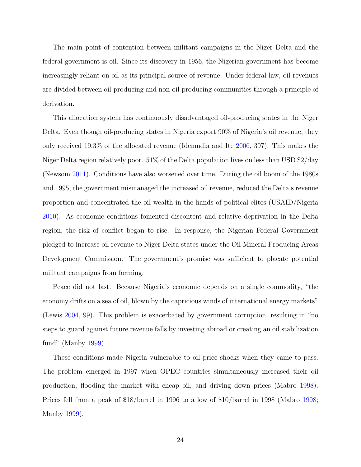The main point of contention between militant campaigns in the Niger Delta and the federal government is oil. Since its discovery in 1956, the Nigerian government has become increasingly reliant on oil as its principal source of revenue. Under federal law, oil revenues are divided between oil-producing and non-oil-producing communities through a principle of derivation.

This allocation system has continuously disadvantaged oil-producing states in the Niger Delta. Even though oil-producing states in Nigeria export 90% of Nigeria's oil revenue, they only received 19.3% of the allocated revenue (Idemudia and Ite [2006,](#page-30-16) 397). This makes the Niger Delta region relatively poor. 51% of the Delta population lives on less than USD \$2/day (Newsom [2011\)](#page-31-6). Conditions have also worsened over time. During the oil boom of the 1980s and 1995, the government mismanaged the increased oil revenue, reduced the Delta's revenue proportion and concentrated the oil wealth in the hands of political elites (USAID/Nigeria [2010\)](#page-31-7). As economic conditions fomented discontent and relative deprivation in the Delta region, the risk of conflict began to rise. In response, the Nigerian Federal Government pledged to increase oil revenue to Niger Delta states under the Oil Mineral Producing Areas Development Commission. The government's promise was sufficient to placate potential militant campaigns from forming.

Peace did not last. Because Nigeria's economic depends on a single commodity, "the economy drifts on a sea of oil, blown by the capricious winds of international energy markets" (Lewis [2004,](#page-30-17) 99). This problem is exacerbated by government corruption, resulting in "no steps to guard against future revenue falls by investing abroad or creating an oil stabilization fund" (Manby [1999\)](#page-30-18).

These conditions made Nigeria vulnerable to oil price shocks when they came to pass. The problem emerged in 1997 when OPEC countries simultaneously increased their oil production, flooding the market with cheap oil, and driving down prices (Mabro [1998\)](#page-30-19). Prices fell from a peak of \$18/barrel in 1996 to a low of \$10/barrel in 1998 (Mabro [1998;](#page-30-19) Manby [1999\)](#page-30-18).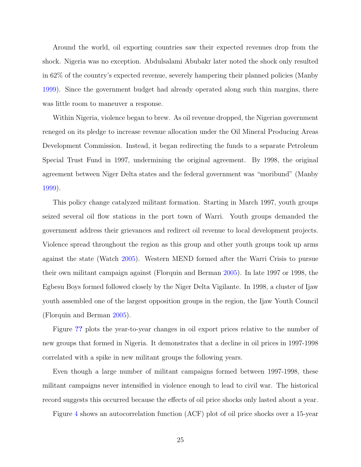Around the world, oil exporting countries saw their expected revenues drop from the shock. Nigeria was no exception. Abdulsalami Abubakr later noted the shock only resulted in 62% of the country's expected revenue, severely hampering their planned policies (Manby [1999\)](#page-30-18). Since the government budget had already operated along such thin margins, there was little room to maneuver a response.

Within Nigeria, violence began to brew. As oil revenue dropped, the Nigerian government reneged on its pledge to increase revenue allocation under the Oil Mineral Producing Areas Development Commission. Instead, it began redirecting the funds to a separate Petroleum Special Trust Fund in 1997, undermining the original agreement. By 1998, the original agreement between Niger Delta states and the federal government was "moribund" (Manby [1999\)](#page-30-18).

This policy change catalyzed militant formation. Starting in March 1997, youth groups seized several oil flow stations in the port town of Warri. Youth groups demanded the government address their grievances and redirect oil revenue to local development projects. Violence spread throughout the region as this group and other youth groups took up arms against the state (Watch [2005\)](#page-31-5). Western MEND formed after the Warri Crisis to pursue their own militant campaign against (Florquin and Berman [2005\)](#page-30-15). In late 1997 or 1998, the Egbesu Boys formed followed closely by the Niger Delta Vigilante. In 1998, a cluster of Ijaw youth assembled one of the largest opposition groups in the region, the Ijaw Youth Council (Florquin and Berman [2005\)](#page-30-15).

Figure [??](#page-25-0) plots the year-to-year changes in oil export prices relative to the number of new groups that formed in Nigeria. It demonstrates that a decline in oil prices in 1997-1998 correlated with a spike in new militant groups the following years.

Even though a large number of militant campaigns formed between 1997-1998, these militant campaigns never intensified in violence enough to lead to civil war. The historical record suggests this occurred because the effects of oil price shocks only lasted about a year.

Figure [4](#page-26-0) shows an autocorrelation function (ACF) plot of oil price shocks over a 15-year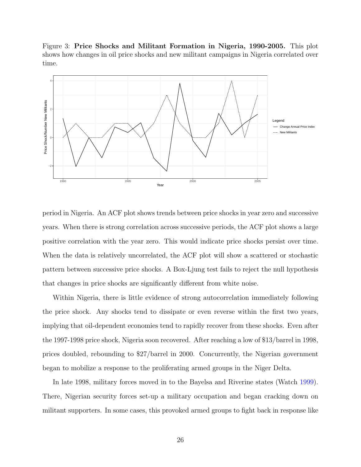<span id="page-25-0"></span>Figure 3: Price Shocks and Militant Formation in Nigeria, 1990-2005. This plot shows how changes in oil price shocks and new militant campaigns in Nigeria correlated over time.



period in Nigeria. An ACF plot shows trends between price shocks in year zero and successive years. When there is strong correlation across successive periods, the ACF plot shows a large positive correlation with the year zero. This would indicate price shocks persist over time. When the data is relatively uncorrelated, the ACF plot will show a scattered or stochastic pattern between successive price shocks. A Box-Ljung test fails to reject the null hypothesis that changes in price shocks are significantly different from white noise.

Within Nigeria, there is little evidence of strong autocorrelation immediately following the price shock. Any shocks tend to dissipate or even reverse within the first two years, implying that oil-dependent economies tend to rapidly recover from these shocks. Even after the 1997-1998 price shock, Nigeria soon recovered. After reaching a low of \$13/barrel in 1998, prices doubled, rebounding to \$27/barrel in 2000. Concurrently, the Nigerian government began to mobilize a response to the proliferating armed groups in the Niger Delta.

In late 1998, military forces moved in to the Bayelsa and Riverine states (Watch [1999\)](#page-31-8). There, Nigerian security forces set-up a military occupation and began cracking down on militant supporters. In some cases, this provoked armed groups to fight back in response like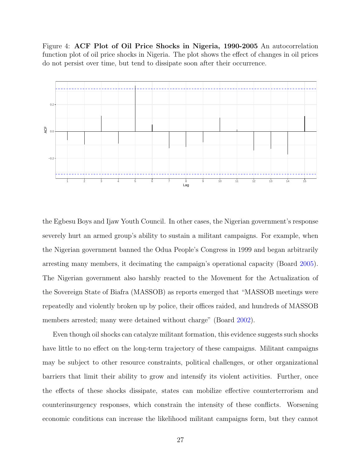<span id="page-26-0"></span>Figure 4: ACF Plot of Oil Price Shocks in Nigeria, 1990-2005 An autocorrelation function plot of oil price shocks in Nigeria. The plot shows the effect of changes in oil prices do not persist over time, but tend to dissipate soon after their occurrence.



the Egbesu Boys and Ijaw Youth Council. In other cases, the Nigerian government's response severely hurt an armed group's ability to sustain a militant campaigns. For example, when the Nigerian government banned the Odua People's Congress in 1999 and began arbitrarily arresting many members, it decimating the campaign's operational capacity (Board [2005\)](#page-29-13). The Nigerian government also harshly reacted to the Movement for the Actualization of the Sovereign State of Biafra (MASSOB) as reports emerged that "MASSOB meetings were repeatedly and violently broken up by police, their offices raided, and hundreds of MASSOB members arrested; many were detained without charge" (Board [2002\)](#page-29-14).

Even though oil shocks can catalyze militant formation, this evidence suggests such shocks have little to no effect on the long-term trajectory of these campaigns. Militant campaigns may be subject to other resource constraints, political challenges, or other organizational barriers that limit their ability to grow and intensify its violent activities. Further, once the effects of these shocks dissipate, states can mobilize effective counterterrorism and counterinsurgency responses, which constrain the intensity of these conflicts. Worsening economic conditions can increase the likelihood militant campaigns form, but they cannot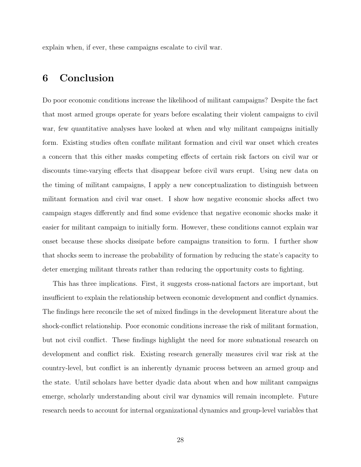explain when, if ever, these campaigns escalate to civil war.

# 6 Conclusion

Do poor economic conditions increase the likelihood of militant campaigns? Despite the fact that most armed groups operate for years before escalating their violent campaigns to civil war, few quantitative analyses have looked at when and why militant campaigns initially form. Existing studies often conflate militant formation and civil war onset which creates a concern that this either masks competing effects of certain risk factors on civil war or discounts time-varying effects that disappear before civil wars erupt. Using new data on the timing of militant campaigns, I apply a new conceptualization to distinguish between militant formation and civil war onset. I show how negative economic shocks affect two campaign stages differently and find some evidence that negative economic shocks make it easier for militant campaign to initially form. However, these conditions cannot explain war onset because these shocks dissipate before campaigns transition to form. I further show that shocks seem to increase the probability of formation by reducing the state's capacity to deter emerging militant threats rather than reducing the opportunity costs to fighting.

This has three implications. First, it suggests cross-national factors are important, but insufficient to explain the relationship between economic development and conflict dynamics. The findings here reconcile the set of mixed findings in the development literature about the shock-conflict relationship. Poor economic conditions increase the risk of militant formation, but not civil conflict. These findings highlight the need for more subnational research on development and conflict risk. Existing research generally measures civil war risk at the country-level, but conflict is an inherently dynamic process between an armed group and the state. Until scholars have better dyadic data about when and how militant campaigns emerge, scholarly understanding about civil war dynamics will remain incomplete. Future research needs to account for internal organizational dynamics and group-level variables that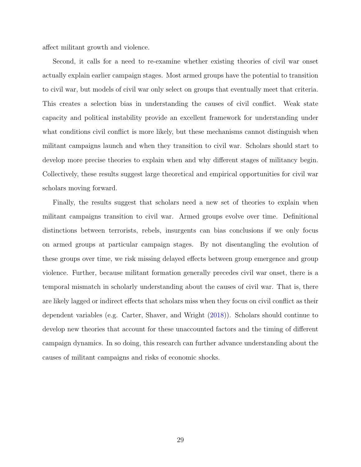affect militant growth and violence.

Second, it calls for a need to re-examine whether existing theories of civil war onset actually explain earlier campaign stages. Most armed groups have the potential to transition to civil war, but models of civil war only select on groups that eventually meet that criteria. This creates a selection bias in understanding the causes of civil conflict. Weak state capacity and political instability provide an excellent framework for understanding under what conditions civil conflict is more likely, but these mechanisms cannot distinguish when militant campaigns launch and when they transition to civil war. Scholars should start to develop more precise theories to explain when and why different stages of militancy begin. Collectively, these results suggest large theoretical and empirical opportunities for civil war scholars moving forward.

Finally, the results suggest that scholars need a new set of theories to explain when militant campaigns transition to civil war. Armed groups evolve over time. Definitional distinctions between terrorists, rebels, insurgents can bias conclusions if we only focus on armed groups at particular campaign stages. By not disentangling the evolution of these groups over time, we risk missing delayed effects between group emergence and group violence. Further, because militant formation generally precedes civil war onset, there is a temporal mismatch in scholarly understanding about the causes of civil war. That is, there are likely lagged or indirect effects that scholars miss when they focus on civil conflict as their dependent variables (e.g. Carter, Shaver, and Wright [\(2018\)](#page-29-15)). Scholars should continue to develop new theories that account for these unaccounted factors and the timing of different campaign dynamics. In so doing, this research can further advance understanding about the causes of militant campaigns and risks of economic shocks.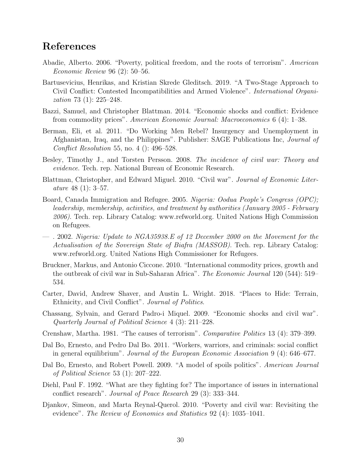# References

- <span id="page-29-0"></span>Abadie, Alberto. 2006. "Poverty, political freedom, and the roots of terrorism". American Economic Review 96 (2): 50–56.
- <span id="page-29-6"></span>Bartusevicius, Henrikas, and Kristian Skrede Gleditsch. 2019. "A Two-Stage Approach to Civil Conflict: Contested Incompatibilities and Armed Violence". International Organization 73 (1): 225–248.
- <span id="page-29-2"></span>Bazzi, Samuel, and Christopher Blattman. 2014. "Economic shocks and conflict: Evidence from commodity prices". American Economic Journal: Macroeconomics 6 (4): 1–38.
- <span id="page-29-12"></span>Berman, Eli, et al. 2011. "Do Working Men Rebel? Insurgency and Unemployment in Afghanistan, Iraq, and the Philippines". Publisher: SAGE Publications Inc, Journal of Conflict Resolution 55, no. 4 (): 496–528.
- <span id="page-29-7"></span>Besley, Timothy J., and Torsten Persson. 2008. The incidence of civil war: Theory and evidence. Tech. rep. National Bureau of Economic Research.
- <span id="page-29-3"></span>Blattman, Christopher, and Edward Miguel. 2010. "Civil war". Journal of Economic Literature 48 (1): 3–57.
- <span id="page-29-13"></span>Board, Canada Immigration and Refugee. 2005. Nigeria: Oodua People's Congress (OPC); leadership, membership, activities, and treatment by authorities (January 2005 - February 2006). Tech. rep. Library Catalog: www.refworld.org. United Nations High Commission on Refugees.
- <span id="page-29-14"></span>— . 2002. Nigeria: Update to NGA35938.E of 12 December 2000 on the Movement for the Actualisation of the Sovereign State of Biafra (MASSOB). Tech. rep. Library Catalog: www.refworld.org. United Nations High Commissioner for Refugees.
- <span id="page-29-9"></span>Bruckner, Markus, and Antonio Ciccone. 2010. "International commodity prices, growth and the outbreak of civil war in Sub-Saharan Africa". *The Economic Journal* 120 (544): 519– 534.
- <span id="page-29-15"></span>Carter, David, Andrew Shaver, and Austin L. Wright. 2018. "Places to Hide: Terrain, Ethnicity, and Civil Conflict". Journal of Politics.
- <span id="page-29-4"></span>Chassang, Sylvain, and Gerard Padro-i Miquel. 2009. "Economic shocks and civil war". Quarterly Journal of Political Science 4 (3): 211–228.
- <span id="page-29-10"></span>Crenshaw, Martha. 1981. "The causes of terrorism". Comparative Politics 13 (4): 379–399.
- <span id="page-29-11"></span>Dal Bo, Ernesto, and Pedro Dal Bo. 2011. "Workers, warriors, and criminals: social conflict in general equilibrium". Journal of the European Economic Association 9 (4): 646–677.
- <span id="page-29-8"></span>Dal Bo, Ernesto, and Robert Powell. 2009. "A model of spoils politics". American Journal of Political Science 53 (1): 207–222.
- <span id="page-29-5"></span>Diehl, Paul F. 1992. "What are they fighting for? The importance of issues in international conflict research". Journal of Peace Research 29 (3): 333–344.
- <span id="page-29-1"></span>Djankov, Simeon, and Marta Reynal-Querol. 2010. "Poverty and civil war: Revisiting the evidence". The Review of Economics and Statistics 92 (4): 1035–1041.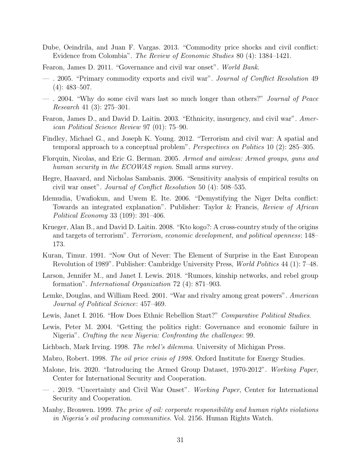- <span id="page-30-1"></span>Dube, Oeindrila, and Juan F. Vargas. 2013. "Commodity price shocks and civil conflict: Evidence from Colombia". The Review of Economic Studies 80 (4): 1384–1421.
- <span id="page-30-14"></span>Fearon, James D. 2011. "Governance and civil war onset". World Bank.
- <span id="page-30-13"></span>— . 2005. "Primary commodity exports and civil war". Journal of Conflict Resolution 49 (4): 483–507.
- <span id="page-30-12"></span>— . 2004. "Why do some civil wars last so much longer than others?" Journal of Peace Research 41 (3): 275–301.
- <span id="page-30-2"></span>Fearon, James D., and David D. Laitin. 2003. "Ethnicity, insurgency, and civil war". American Political Science Review 97 (01): 75–90.
- <span id="page-30-9"></span>Findley, Michael G., and Joseph K. Young. 2012. "Terrorism and civil war: A spatial and temporal approach to a conceptual problem". Perspectives on Politics 10  $(2)$ : 285–305.
- <span id="page-30-15"></span>Florquin, Nicolas, and Eric G. Berman. 2005. Armed and aimless: Armed groups, guns and human security in the ECOWAS region. Small arms survey.
- <span id="page-30-3"></span>Hegre, Haavard, and Nicholas Sambanis. 2006. "Sensitivity analysis of empirical results on civil war onset". Journal of Conflict Resolution 50  $(4)$ : 508–535.
- <span id="page-30-16"></span>Idemudia, Uwafiokun, and Uwem E. Ite. 2006. "Demystifying the Niger Delta conflict: Towards an integrated explanation". Publisher: Taylor & Francis, Review of African Political Economy 33 (109): 391–406.
- <span id="page-30-0"></span>Krueger, Alan B., and David D. Laitin. 2008. "Kto kogo?: A cross-country study of the origins and targets of terrorism". Terrorism, economic development, and political openness: 148– 173.
- <span id="page-30-10"></span>Kuran, Timur. 1991. "Now Out of Never: The Element of Surprise in the East European Revolution of 1989". Publisher: Cambridge University Press, *World Politics* 44 (1): 7–48.
- <span id="page-30-5"></span>Larson, Jennifer M., and Janet I. Lewis. 2018. "Rumors, kinship networks, and rebel group formation". International Organization 72 (4): 871–903.
- <span id="page-30-8"></span>Lemke, Douglas, and William Reed. 2001. "War and rivalry among great powers". American Journal of Political Science: 457–469.
- <span id="page-30-4"></span>Lewis, Janet I. 2016. "How Does Ethnic Rebellion Start?" Comparative Political Studies.
- <span id="page-30-17"></span>Lewis, Peter M. 2004. "Getting the politics right: Governance and economic failure in Nigeria". Crafting the new Nigeria: Confronting the challenges: 99.
- <span id="page-30-11"></span>Lichbach, Mark Irving. 1998. The rebel's dilemma. University of Michigan Press.
- <span id="page-30-19"></span>Mabro, Robert. 1998. The oil price crisis of 1998. Oxford Institute for Energy Studies.
- <span id="page-30-7"></span>Malone, Iris. 2020. "Introducing the Armed Group Dataset, 1970-2012". Working Paper, Center for International Security and Cooperation.
- <span id="page-30-6"></span>— . 2019. "Uncertainty and Civil War Onset". Working Paper, Center for International Security and Cooperation.
- <span id="page-30-18"></span>Manby, Bronwen. 1999. The price of oil: corporate responsibility and human rights violations in Nigeria's oil producing communities. Vol. 2156. Human Rights Watch.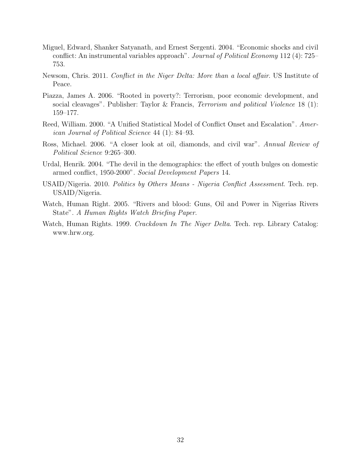- <span id="page-31-1"></span>Miguel, Edward, Shanker Satyanath, and Ernest Sergenti. 2004. "Economic shocks and civil conflict: An instrumental variables approach". *Journal of Political Economy* 112 (4): 725– 753.
- <span id="page-31-6"></span>Newsom, Chris. 2011. Conflict in the Niger Delta: More than a local affair. US Institute of Peace.
- <span id="page-31-0"></span>Piazza, James A. 2006. "Rooted in poverty?: Terrorism, poor economic development, and social cleavages". Publisher: Taylor & Francis, *Terrorism and political Violence* 18 (1): 159–177.
- <span id="page-31-2"></span>Reed, William. 2000. "A Unified Statistical Model of Conflict Onset and Escalation". American Journal of Political Science 44 (1): 84–93.
- <span id="page-31-3"></span>Ross, Michael. 2006. "A closer look at oil, diamonds, and civil war". Annual Review of Political Science 9:265–300.
- <span id="page-31-4"></span>Urdal, Henrik. 2004. "The devil in the demographics: the effect of youth bulges on domestic armed conflict, 1950-2000". Social Development Papers 14.
- <span id="page-31-7"></span>USAID/Nigeria. 2010. Politics by Others Means - Nigeria Conflict Assessment. Tech. rep. USAID/Nigeria.
- <span id="page-31-5"></span>Watch, Human Right. 2005. "Rivers and blood: Guns, Oil and Power in Nigerias Rivers State". A Human Rights Watch Briefing Paper.
- <span id="page-31-8"></span>Watch, Human Rights. 1999. Crackdown In The Niger Delta. Tech. rep. Library Catalog: www.hrw.org.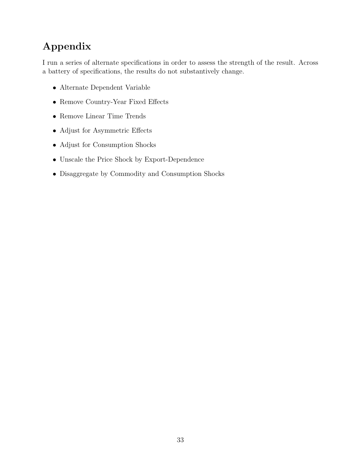# Appendix

I run a series of alternate specifications in order to assess the strength of the result. Across a battery of specifications, the results do not substantively change.

- Alternate Dependent Variable
- Remove Country-Year Fixed Effects
- Remove Linear Time Trends
- Adjust for Asymmetric Effects
- Adjust for Consumption Shocks
- Unscale the Price Shock by Export-Dependence
- Disaggregate by Commodity and Consumption Shocks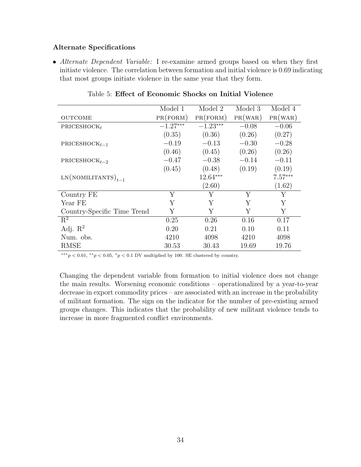### Alternate Specifications

• Alternate Dependent Variable: I re-examine armed groups based on when they first initiate violence. The correlation between formation and initial violence is 0.69 indicating that most groups initiate violence in the same year that they form.

|                             | Model 1    | Model 2    | Model 3 | Model 4   |
|-----------------------------|------------|------------|---------|-----------|
| <b>OUTCOME</b>              | PR(FORM)   | PR(FORM)   | PR(WAR) | PR(WAR)   |
| PRICESHOCK $_t$             | $-1.27***$ | $-1.23***$ | $-0.08$ | $-0.06$   |
|                             | (0.35)     | (0.36)     | (0.26)  | (0.27)    |
| PRICESHOC $K_{t-1}$         | $-0.19$    | $-0.13$    | $-0.30$ | $-0.28$   |
|                             | (0.46)     | (0.45)     | (0.26)  | (0.26)    |
| PRICESHOC $K_{t-2}$         | $-0.47$    | $-0.38$    | $-0.14$ | $-0.11$   |
|                             | (0.45)     | (0.48)     | (0.19)  | (0.19)    |
| $LN(NOMILITANTS)_{t-1}$     |            | $12.64***$ |         | $7.57***$ |
|                             |            | (2.60)     |         | (1.62)    |
| Country FE                  | Y          | Y          | Y       | Υ         |
| Year FE                     | Y          | Y          | Y       | Y         |
| Country-Specific Time Trend | Y          | Y          | Y       | Υ         |
| $R^2$                       | 0.25       | 0.26       | 0.16    | 0.17      |
| Adj. $R^2$                  | 0.20       | 0.21       | 0.10    | 0.11      |
| Num. obs.                   | 4210       | 4098       | 4210    | 4098      |
| <b>RMSE</b>                 | 30.53      | 30.43      | 19.69   | 19.76     |

### Table 5: Effect of Economic Shocks on Initial Violence

∗∗∗p < 0.01, ∗∗p < 0.05, <sup>∗</sup>p < 0.1 DV multiplied by 100. SE clustered by country.

Changing the dependent variable from formation to initial violence does not change the main results. Worsening economic conditions – operationalized by a year-to-year decrease in export commodity prices – are associated with an increase in the probability of militant formation. The sign on the indicator for the number of pre-existing armed groups changes. This indicates that the probability of new militant violence tends to increase in more fragmented conflict environments.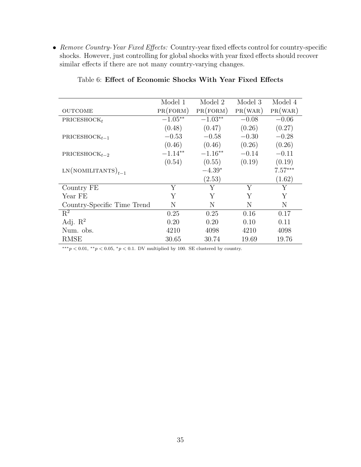• Remove Country-Year Fixed Effects: Country-year fixed effects control for country-specific shocks. However, just controlling for global shocks with year fixed effects should recover similar effects if there are not many country-varying changes.

|                             | Model 1   | Model 2   | Model 3 | Model 4   |
|-----------------------------|-----------|-----------|---------|-----------|
| <b>OUTCOME</b>              | PR(FORM)  | PR(FORM)  | PR(WAR) | PR(WAR)   |
| PRICESHOCK $_t$             | $-1.05**$ | $-1.03**$ | $-0.08$ | $-0.06$   |
|                             | (0.48)    | (0.47)    | (0.26)  | (0.27)    |
| PRICESHOC $K_{t-1}$         | $-0.53$   | $-0.58$   | $-0.30$ | $-0.28$   |
|                             | (0.46)    | (0.46)    | (0.26)  | (0.26)    |
| PRICESHOC $K_{t-2}$         | $-1.14**$ | $-1.16**$ | $-0.14$ | $-0.11$   |
|                             | (0.54)    | (0.55)    | (0.19)  | (0.19)    |
| $LN(NOMILITANTS)_{t-1}$     |           | $-4.39*$  |         | $7.57***$ |
|                             |           | (2.53)    |         | (1.62)    |
| Country FE                  | Y         | Υ         | Y       | Υ         |
| Year FE                     | Y         | Y         | Y       | Y         |
| Country-Specific Time Trend | N         | N         | N       | N         |
| $R^2$                       | 0.25      | 0.25      | 0.16    | 0.17      |
| Adj. $\mathbb{R}^2$         | 0.20      | 0.20      | 0.10    | 0.11      |
| Num. obs.                   | 4210      | 4098      | 4210    | 4098      |
| <b>RMSE</b>                 | 30.65     | 30.74     | 19.69   | 19.76     |

### Table 6: Effect of Economic Shocks With Year Fixed Effects

 $\overline{\mathcal{L}_{*^{**}p}$  < 0.01,  $\overline{\mathcal{L}_{p}}$  < 0.05,  $\overline{\mathcal{L}_{p}}$  < 0.1. DV multiplied by 100. SE clustered by country.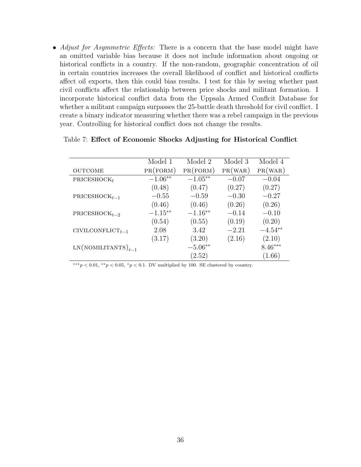• Adjust for Asymmetric Effects: There is a concern that the base model might have an omitted variable bias because it does not include information about ongoing or historical conflicts in a country. If the non-random, geographic concentration of oil in certain countries increases the overall likelihood of conflict and historical conflicts affect oil exports, then this could bias results. I test for this by seeing whether past civil conflicts affect the relationship between price shocks and militant formation. I incorporate historical conflict data from the Uppsala Armed Conflcit Database for whether a militant campaign surpasses the 25-battle death threshold for civil conflict. I create a binary indicator measuring whether there was a rebel campaign in the previous year. Controlling for historical conflict does not change the results.

|                         | Model 1    | Model 2   | Model 3 | Model 4   |
|-------------------------|------------|-----------|---------|-----------|
| <b>OUTCOME</b>          | PR(FORM)   | PR(FORM)  | PR(WAR) | PR(WAR)   |
| PRICESHOCK <sub>t</sub> | $-1.06**$  | $-1.05**$ | $-0.07$ | $-0.04$   |
|                         | (0.48)     | (0.47)    | (0.27)  | (0.27)    |
| PRICESHOC $K_{t-1}$     | $-0.55$    | $-0.59$   | $-0.30$ | $-0.27$   |
|                         | (0.46)     | (0.46)    | (0.26)  | (0.26)    |
| PRICESHOC $K_{t-2}$     | $-1.15***$ | $-1.16**$ | $-0.14$ | $-0.10$   |
|                         | (0.54)     | (0.55)    | (0.19)  | (0.20)    |
| $CIVILCONFLICT_{t-1}$   | 2.08       | 3.42      | $-2.21$ | $-4.54**$ |
|                         | (3.17)     | (3.20)    | (2.16)  | (2.10)    |
| $LN(NOMILITANTS)_{t-1}$ |            | $-5.06**$ |         | $8.46***$ |
|                         |            | (2.52)    |         | (1.66)    |

#### Table 7: Effect of Economic Shocks Adjusting for Historical Conflict

 $***p<0.01,$  \*\* $p<0.05,$  \* $p<0.1$ . DV multiplied by 100. SE clustered by country.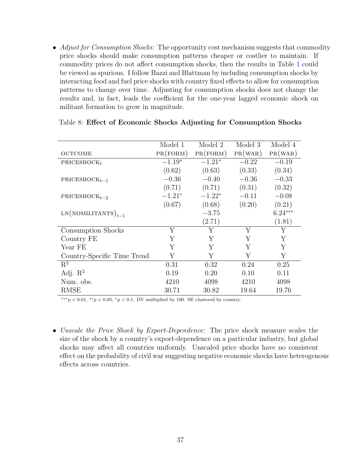• Adjust for Consumption Shocks: The opportunity cost mechanism suggests that commodity price shocks should make consumption patterns cheaper or costlier to maintain. If commodity prices do not affect consumption shocks, then the results in Table [1](#page-14-0) could be viewed as spurious. I follow Bazzi and Blattman by including consumption shocks by interacting food and fuel price shocks with country fixed effects to allow for consumption patterns to change over time. Adjusting for consumption shocks does not change the results and, in fact, leads the coefficient for the one-year lagged economic shock on militant formation to grow in magnitude.

|                             | Model 1  | Model 2  | Model 3 | Model 4   |
|-----------------------------|----------|----------|---------|-----------|
| <b>OUTCOME</b>              | PR(FORM) | PR(FORM) | PR(WAR) | PR(WAR)   |
| PRICESHOCK $_t$             | $-1.19*$ | $-1.21*$ | $-0.22$ | $-0.19$   |
|                             | (0.62)   | (0.63)   | (0.33)  | (0.34)    |
| PRICESHOC $K_{t-1}$         | $-0.36$  | $-0.40$  | $-0.36$ | $-0.33$   |
|                             | (0.71)   | (0.71)   | (0.31)  | (0.32)    |
| $PRICESHOCK_{t-2}$          | $-1.21*$ | $-1.22*$ | $-0.11$ | $-0.08$   |
|                             | (0.67)   | (0.68)   | (0.20)  | (0.21)    |
| $LN(NOMILITANTS)_{t-1}$     |          | $-3.75$  |         | $6.24***$ |
|                             |          | (2.71)   |         | (1.81)    |
| Consumption Shocks          | Y        | Y        | Υ       | Y         |
| Country FE                  | Υ        | Υ        | Υ       | Y         |
| Year FE                     | Y        | Y        | Υ       | Y         |
| Country-Specific Time Trend | Υ        | Υ        | Υ       | Υ         |
| $R^2$                       | 0.31     | 0.32     | 0.24    | 0.25      |
| Adj. $\mathbb{R}^2$         | 0.19     | 0.20     | 0.10    | 0.11      |
| Num. obs.                   | 4210     | 4098     | 4210    | 4098      |
| RMSE                        | 30.71    | 30.82    | 19.64   | 19.76     |

#### Table 8: Effect of Economic Shocks Adjusting for Consumption Shocks

 $***p<0.01, **p<0.05, *p<0.1$ . DV multiplied by 100. SE clustered by country.

• Unscale the Price Shock by Export-Dependence: The price shock measure scales the size of the shock by a country's export-dependence on a particular industry, but global shocks may affect all countries uniformly. Unscaled price shocks have no consistent effect on the probability of civil war suggesting negative economic shocks have heterogenous effects across countries.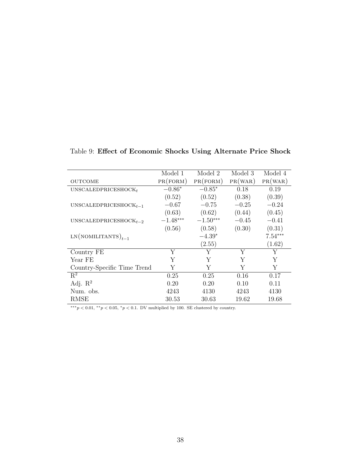|                                 | Model 1    | Model 2    | Model 3 | Model 4   |
|---------------------------------|------------|------------|---------|-----------|
| <b>OUTCOME</b>                  | PR(FORM)   | PR(FORM)   | PR(WAR) | PR(WAR)   |
| UNSCALEDPRICESHOCK <sub>t</sub> | $-0.86*$   | $-0.85*$   | 0.18    | 0.19      |
|                                 | (0.52)     | (0.52)     | (0.38)  | (0.39)    |
| UNSCALEDPRICESHOC $K_{t-1}$     | $-0.67$    | $-0.75$    | $-0.25$ | $-0.24$   |
|                                 | (0.63)     | (0.62)     | (0.44)  | (0.45)    |
| UNSCALEDPRICESHOC $K_{t-2}$     | $-1.48***$ | $-1.50***$ | $-0.45$ | $-0.41$   |
|                                 | (0.56)     | (0.58)     | (0.30)  | (0.31)    |
| $LN(NOMILITANTS)_{t-1}$         |            | $-4.39*$   |         | $7.54***$ |
|                                 |            | (2.55)     |         | (1.62)    |
| Country FE                      | Y          | Y          | Y       | Υ         |
| Year FE                         | Y          | Y          | Y       | Υ         |
| Country-Specific Time Trend     | Y          | Y          | Y       | Y         |
| $R^2$                           | 0.25       | 0.25       | 0.16    | 0.17      |
| Adj. $R^2$                      | 0.20       | 0.20       | 0.10    | 0.11      |
| Num. obs.                       | 4243       | 4130       | 4243    | 4130      |
| RMSE                            | 30.53      | 30.63      | 19.62   | 19.68     |

Table 9: Effect of Economic Shocks Using Alternate Price Shock

 $\overbrace{~~}^{***}p<0.01,~^{**}p<0.05,~^{*}p<0.1.$  DV multiplied by 100. SE clustered by country.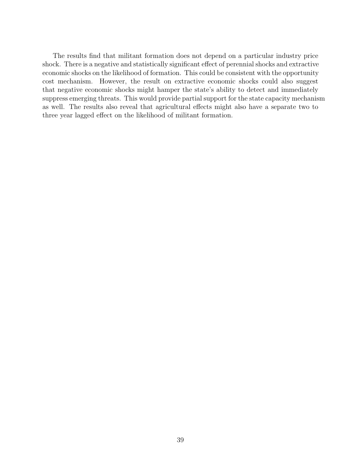The results find that militant formation does not depend on a particular industry price shock. There is a negative and statistically significant effect of perennial shocks and extractive economic shocks on the likelihood of formation. This could be consistent with the opportunity cost mechanism. However, the result on extractive economic shocks could also suggest that negative economic shocks might hamper the state's ability to detect and immediately suppress emerging threats. This would provide partial support for the state capacity mechanism as well. The results also reveal that agricultural effects might also have a separate two to three year lagged effect on the likelihood of militant formation.